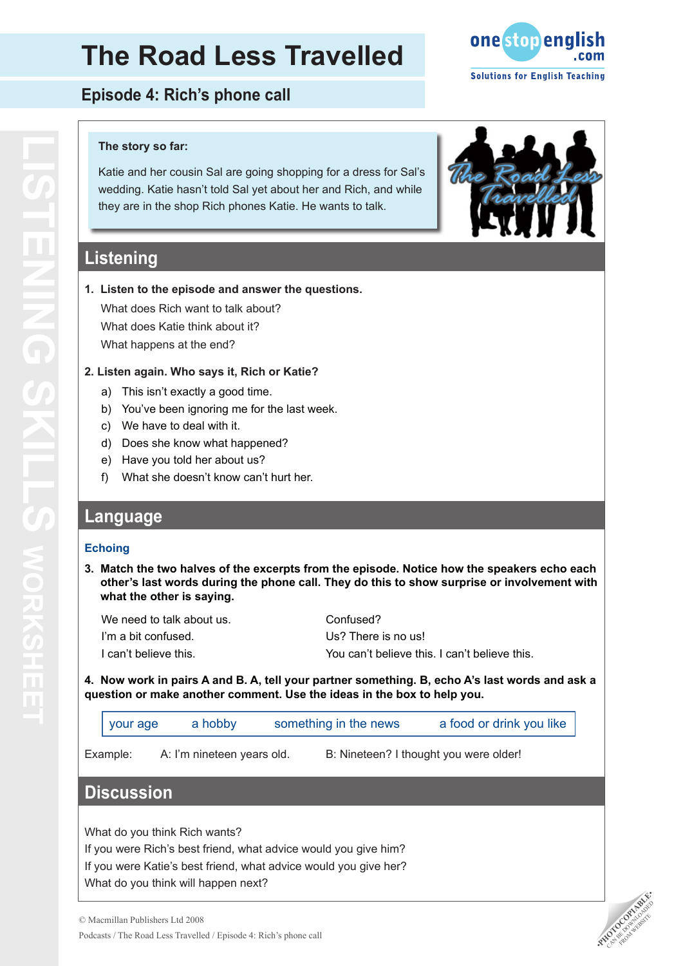# **The Road Less Travelled**

**Episode 4: Rich's phone call** 

### **The story so far:**

Katie and her cousin Sal are going shopping for a dress for Sal's wedding. Katie hasn't told Sal yet about her and Rich, and while they are in the shop Rich phones Katie. He wants to talk.

## **Listening**

### **1. Listen to the episode and answer the questions.**

What does Rich want to talk about? What does Katie think about it? What happens at the end?

### **2. Listen again. Who says it, Rich or Katie?**

- This isn't exactly a good time. a)
- b) You've been ignoring me for the last week.
- We have to deal with it. c)
- d) Does she know what happened?
- e) Have you told her about us?
- What she doesn't know can't hurt her. f)

## **Language**

### **Echoing**

**3. Match the two halves of the excerpts from the episode. Notice how the speakers echo each other's last words during the phone call. They do this to show surprise or involvement with what the other is saying.**

| Confused?                                     |
|-----------------------------------------------|
| Us? There is no us!                           |
| You can't believe this. I can't believe this. |
|                                               |

**4. Now work in pairs A and B. A, tell your partner something. B, echo A's last words and ask a question or make another comment. Use the ideas in the box to help you.**

| your age | a hobby | something in the news | a food or drink you like |
|----------|---------|-----------------------|--------------------------|
|          |         |                       |                          |

Example: A: I'm nineteen years old. B: Nineteen? I thought you were older!

## **Discussion**

What do you think Rich wants?

If you were Rich's best friend, what advice would you give him? If you were Katie's best friend, what advice would you give her? What do you think will happen next?







# **LISTENING SKILLS works STENING SKILLS RKSHEI**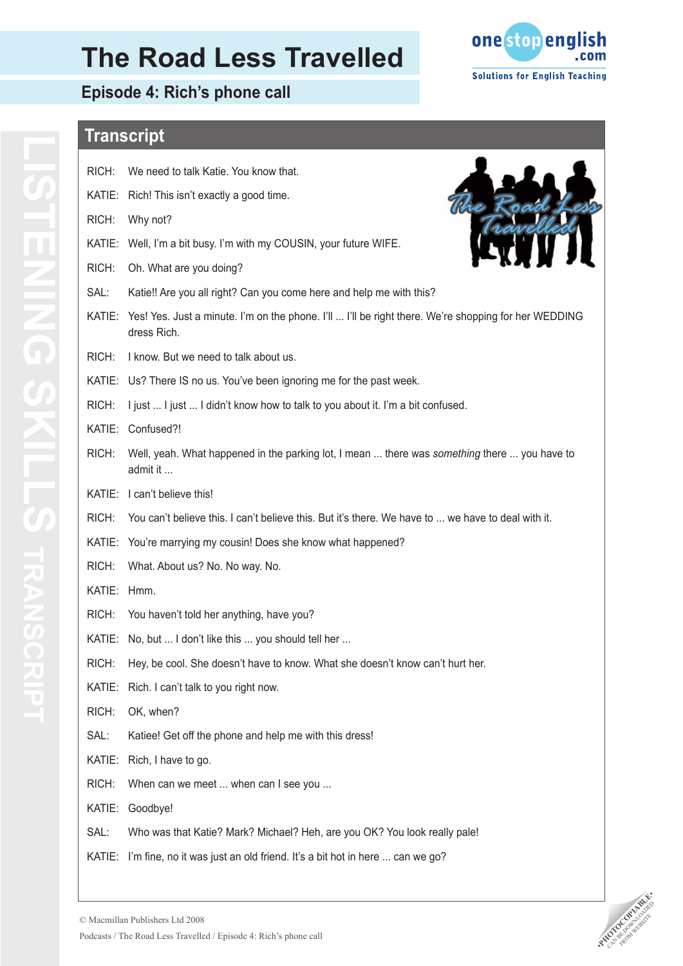# **The Road Less Travelled**

**Episode 4: Rich's phone call**



# **Transcript**

| RICH:  | We need to talk Katie. You know that.                                                                               |
|--------|---------------------------------------------------------------------------------------------------------------------|
| KATIE: | Rich! This isn't exactly a good time.                                                                               |
| RICH:  | Why not?                                                                                                            |
| KATIE: | Well, I'm a bit busy. I'm with my COUSIN, your future WIFE.                                                         |
| RICH:  | Oh. What are you doing?                                                                                             |
| SAL:   | Katie!! Are you all right? Can you come here and help me with this?                                                 |
| KATIE: | Yes! Yes. Just a minute. I'm on the phone. I'll  I'll be right there. We're shopping for her WEDDING<br>dress Rich. |
| RICH:  | I know. But we need to talk about us.                                                                               |
|        | KATIE: Us? There IS no us. You've been ignoring me for the past week.                                               |
| RICH:  | I just  I just  I didn't know how to talk to you about it. I'm a bit confused.                                      |
| KATIE: | Confused?!                                                                                                          |
| RICH:  | Well, yeah. What happened in the parking lot, I mean  there was something there  you have to<br>admit it            |
| KATIE: | I can't believe this!                                                                                               |
| RICH:  | You can't believe this. I can't believe this. But it's there. We have to  we have to deal with it.                  |
| KATIE: | You're marrying my cousin! Does she know what happened?                                                             |
| RICH:  | What. About us? No. No way. No.                                                                                     |
| KATIE: | Hmm.                                                                                                                |
| RICH:  | You haven't told her anything, have you?                                                                            |
| KATIE: | No, but  I don't like this  you should tell her                                                                     |
| RICH:  | Hey, be cool. She doesn't have to know. What she doesn't know can't hurt her.                                       |
|        | KATIE: Rich. I can't talk to you right now.                                                                         |
| RICH:  | OK, when?                                                                                                           |
| SAL:   | Katiee! Get off the phone and help me with this dress!                                                              |
| KATIE: | Rich, I have to go.                                                                                                 |
| RICH:  | When can we meet  when can I see you                                                                                |
| KATIE: | Goodbye!                                                                                                            |
| SAL:   | Who was that Katie? Mark? Michael? Heh, are you OK? You look really pale!                                           |
| KATIE: | I'm fine, no it was just an old friend. It's a bit hot in here  can we go?                                          |